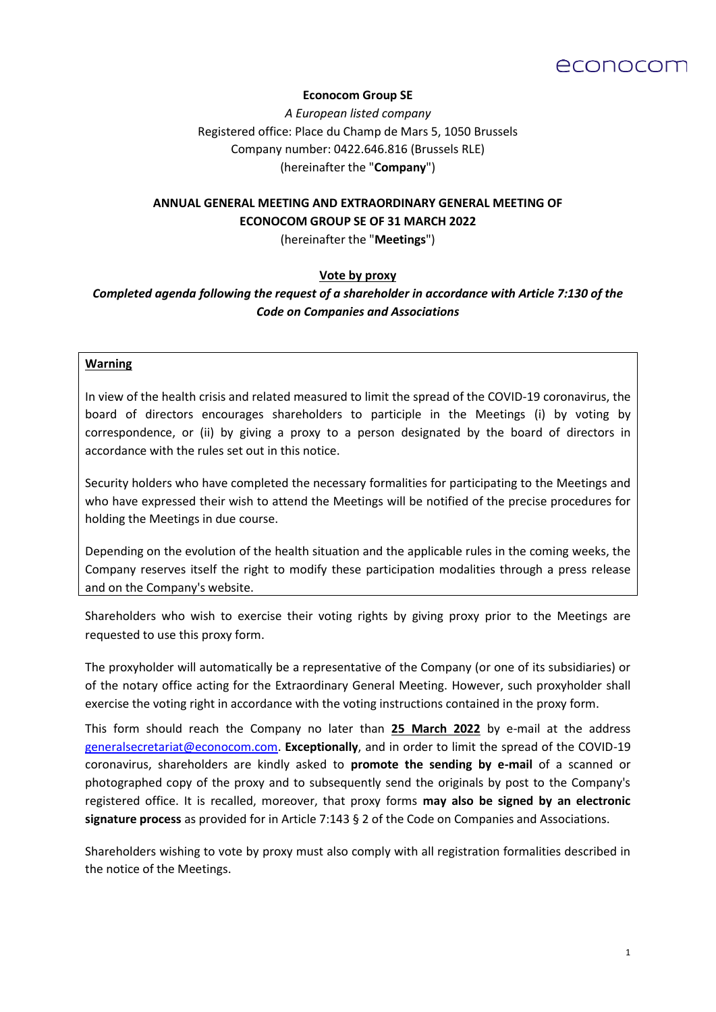

### **Econocom Group SE**

*A European listed company*  Registered office: Place du Champ de Mars 5, 1050 Brussels Company number: 0422.646.816 (Brussels RLE) (hereinafter the "**Company**")

# **ANNUAL GENERAL MEETING AND EXTRAORDINARY GENERAL MEETING OF ECONOCOM GROUP SE OF 31 MARCH 2022**

(hereinafter the "**Meetings**")

# **Vote by proxy**

*Completed agenda following the request of a shareholder in accordance with Article 7:130 of the Code on Companies and Associations*

### **Warning**

In view of the health crisis and related measured to limit the spread of the COVID-19 coronavirus, the board of directors encourages shareholders to participle in the Meetings (i) by voting by correspondence, or (ii) by giving a proxy to a person designated by the board of directors in accordance with the rules set out in this notice.

Security holders who have completed the necessary formalities for participating to the Meetings and who have expressed their wish to attend the Meetings will be notified of the precise procedures for holding the Meetings in due course.

Depending on the evolution of the health situation and the applicable rules in the coming weeks, the Company reserves itself the right to modify these participation modalities through a press release and on the Company's website.

Shareholders who wish to exercise their voting rights by giving proxy prior to the Meetings are requested to use this proxy form.

The proxyholder will automatically be a representative of the Company (or one of its subsidiaries) or of the notary office acting for the Extraordinary General Meeting. However, such proxyholder shall exercise the voting right in accordance with the voting instructions contained in the proxy form.

This form should reach the Company no later than **25 March 2022** by e-mail at the address [generalsecretariat@econocom.com.](mailto:generalsecretariat@econocom.com) **Exceptionally**, and in order to limit the spread of the COVID-19 coronavirus, shareholders are kindly asked to **promote the sending by e-mail** of a scanned or photographed copy of the proxy and to subsequently send the originals by post to the Company's registered office. It is recalled, moreover, that proxy forms **may also be signed by an electronic signature process** as provided for in Article 7:143 § 2 of the Code on Companies and Associations.

Shareholders wishing to vote by proxy must also comply with all registration formalities described in the notice of the Meetings.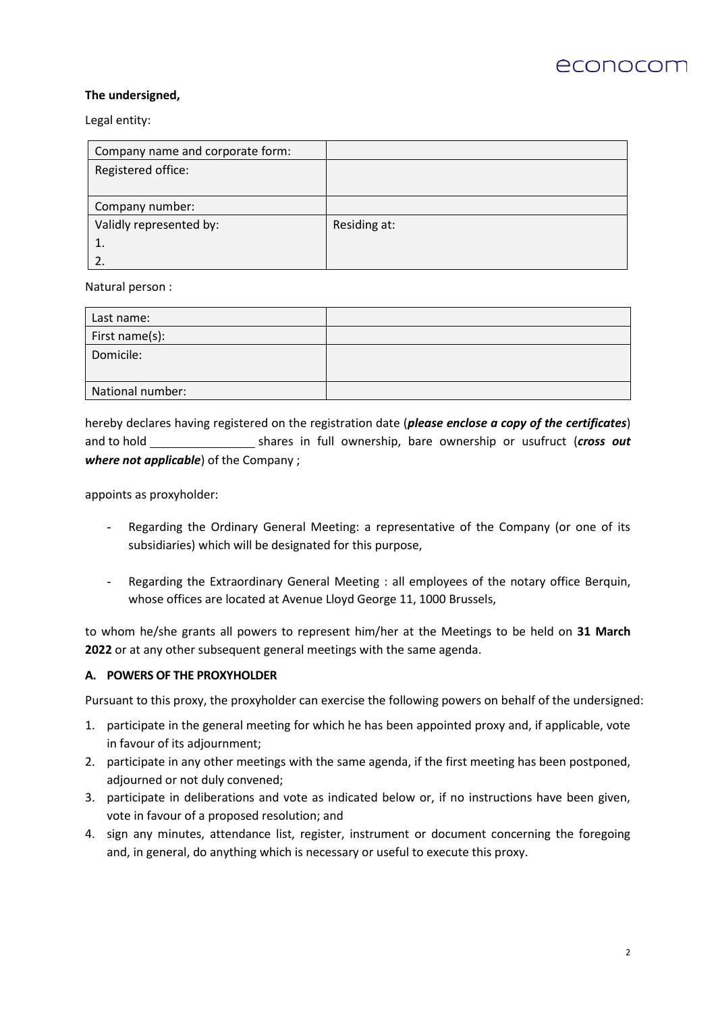

### **The undersigned,**

Legal entity:

| Company name and corporate form: |              |
|----------------------------------|--------------|
| Registered office:               |              |
|                                  |              |
| Company number:                  |              |
| Validly represented by:          | Residing at: |
|                                  |              |
|                                  |              |

Natural person :

| Last name:       |  |
|------------------|--|
| First name(s):   |  |
| Domicile:        |  |
|                  |  |
| National number: |  |

hereby declares having registered on the registration date (*please enclose a copy of the certificates*) and to hold shares in full ownership, bare ownership or usufruct (*cross out where not applicable*) of the Company ;

appoints as proxyholder:

- Regarding the Ordinary General Meeting: a representative of the Company (or one of its subsidiaries) which will be designated for this purpose,
- Regarding the Extraordinary General Meeting : all employees of the notary office Berquin, whose offices are located at Avenue Lloyd George 11, 1000 Brussels,

to whom he/she grants all powers to represent him/her at the Meetings to be held on **31 March 2022** or at any other subsequent general meetings with the same agenda.

### **A. POWERS OF THE PROXYHOLDER**

Pursuant to this proxy, the proxyholder can exercise the following powers on behalf of the undersigned:

- 1. participate in the general meeting for which he has been appointed proxy and, if applicable, vote in favour of its adjournment;
- 2. participate in any other meetings with the same agenda, if the first meeting has been postponed, adjourned or not duly convened;
- 3. participate in deliberations and vote as indicated below or, if no instructions have been given, vote in favour of a proposed resolution; and
- 4. sign any minutes, attendance list, register, instrument or document concerning the foregoing and, in general, do anything which is necessary or useful to execute this proxy.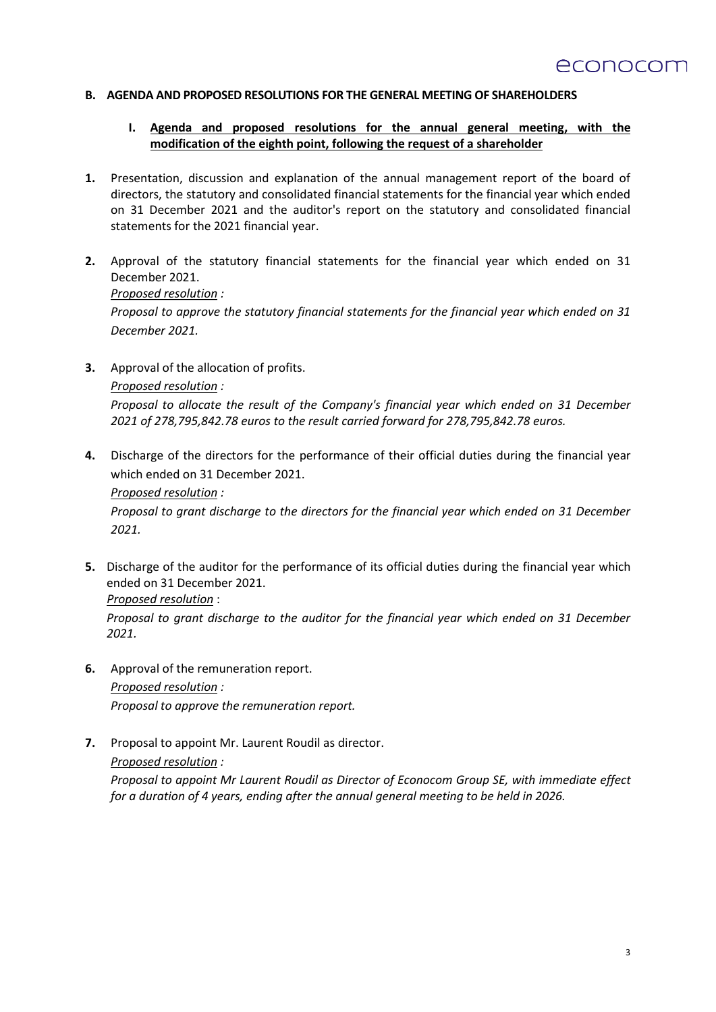#### **B. AGENDA AND PROPOSED RESOLUTIONS FOR THE GENERAL MEETING OF SHAREHOLDERS**

### **I. Agenda and proposed resolutions for the annual general meeting, with the modification of the eighth point, following the request of a shareholder**

- **1.** Presentation, discussion and explanation of the annual management report of the board of directors, the statutory and consolidated financial statements for the financial year which ended on 31 December 2021 and the auditor's report on the statutory and consolidated financial statements for the 2021 financial year.
- **2.** Approval of the statutory financial statements for the financial year which ended on 31 December 2021.

*Proposed resolution :*

*Proposal to approve the statutory financial statements for the financial year which ended on 31 December 2021.*

**3.** Approval of the allocation of profits. *Proposed resolution :*

*Proposal to allocate the result of the Company's financial year which ended on 31 December 2021 of 278,795,842.78 euros to the result carried forward for 278,795,842.78 euros.*

**4.** Discharge of the directors for the performance of their official duties during the financial year which ended on 31 December 2021.

#### *Proposed resolution :*

*Proposal to grant discharge to the directors for the financial year which ended on 31 December 2021.*

**5.** Discharge of the auditor for the performance of its official duties during the financial year which ended on 31 December 2021.

*Proposed resolution* :

*Proposal to grant discharge to the auditor for the financial year which ended on 31 December 2021.*

- **6.** Approval of the remuneration report. *Proposed resolution : Proposal to approve the remuneration report.*
- **7.** Proposal to appoint Mr. Laurent Roudil as director.

*Proposed resolution :*

*Proposal to appoint Mr Laurent Roudil as Director of Econocom Group SE, with immediate effect for a duration of 4 years, ending after the annual general meeting to be held in 2026.*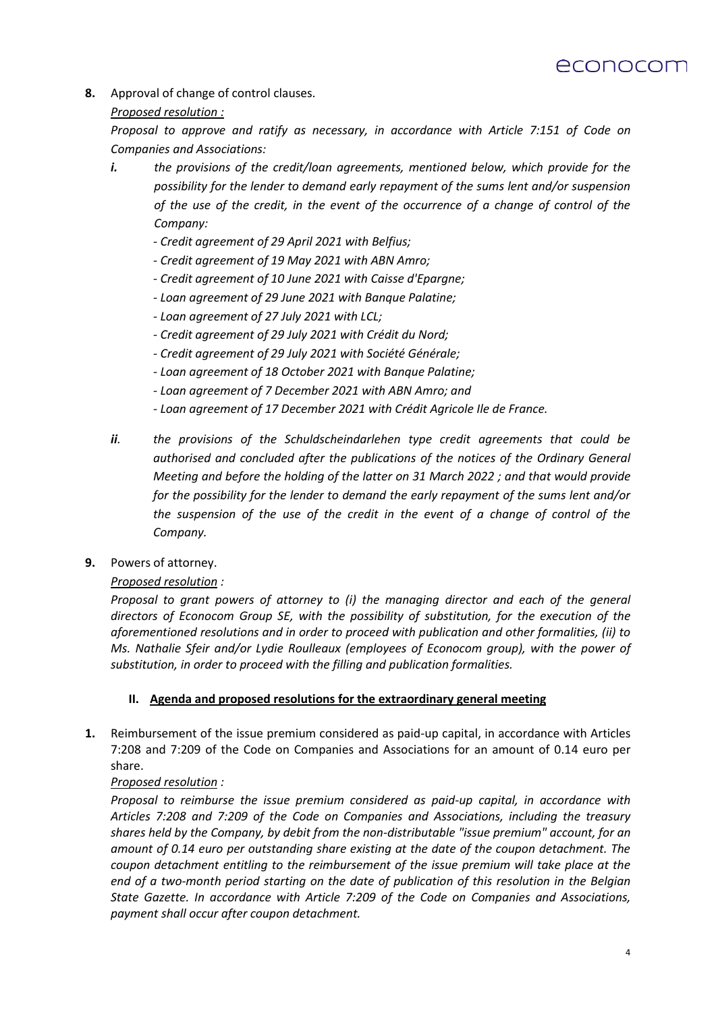

**8.** Approval of change of control clauses.

# *Proposed resolution :*

*Proposal to approve and ratify as necessary, in accordance with Article 7:151 of Code on Companies and Associations:*

- *i. the provisions of the credit/loan agreements, mentioned below, which provide for the possibility for the lender to demand early repayment of the sums lent and/or suspension of the use of the credit, in the event of the occurrence of a change of control of the Company:*
	- *- Credit agreement of 29 April 2021 with Belfius;*
	- *- Credit agreement of 19 May 2021 with ABN Amro;*
	- *- Credit agreement of 10 June 2021 with Caisse d'Epargne;*
	- *- Loan agreement of 29 June 2021 with Banque Palatine;*
	- *- Loan agreement of 27 July 2021 with LCL;*
	- *- Credit agreement of 29 July 2021 with Crédit du Nord;*
	- *- Credit agreement of 29 July 2021 with Société Générale;*
	- *- Loan agreement of 18 October 2021 with Banque Palatine;*
	- *- Loan agreement of 7 December 2021 with ABN Amro; and*
	- *- Loan agreement of 17 December 2021 with Crédit Agricole Ile de France.*
- *ii. the provisions of the Schuldscheindarlehen type credit agreements that could be authorised and concluded after the publications of the notices of the Ordinary General Meeting and before the holding of the latter on 31 March 2022 ; and that would provide for the possibility for the lender to demand the early repayment of the sums lent and/or the suspension of the use of the credit in the event of a change of control of the Company.*
- **9.** Powers of attorney.

# *Proposed resolution :*

*Proposal to grant powers of attorney to (i) the managing director and each of the general directors of Econocom Group SE, with the possibility of substitution, for the execution of the aforementioned resolutions and in order to proceed with publication and other formalities, (ii) to Ms. Nathalie Sfeir and/or Lydie Roulleaux (employees of Econocom group), with the power of substitution, in order to proceed with the filling and publication formalities.*

# **II. Agenda and proposed resolutions for the extraordinary general meeting**

**1.** Reimbursement of the issue premium considered as paid-up capital, in accordance with Articles 7:208 and 7:209 of the Code on Companies and Associations for an amount of 0.14 euro per share.

# *Proposed resolution :*

*Proposal to reimburse the issue premium considered as paid-up capital, in accordance with Articles 7:208 and 7:209 of the Code on Companies and Associations, including the treasury shares held by the Company, by debit from the non-distributable "issue premium" account, for an amount of 0.14 euro per outstanding share existing at the date of the coupon detachment. The coupon detachment entitling to the reimbursement of the issue premium will take place at the end of a two-month period starting on the date of publication of this resolution in the Belgian State Gazette. In accordance with Article 7:209 of the Code on Companies and Associations, payment shall occur after coupon detachment.*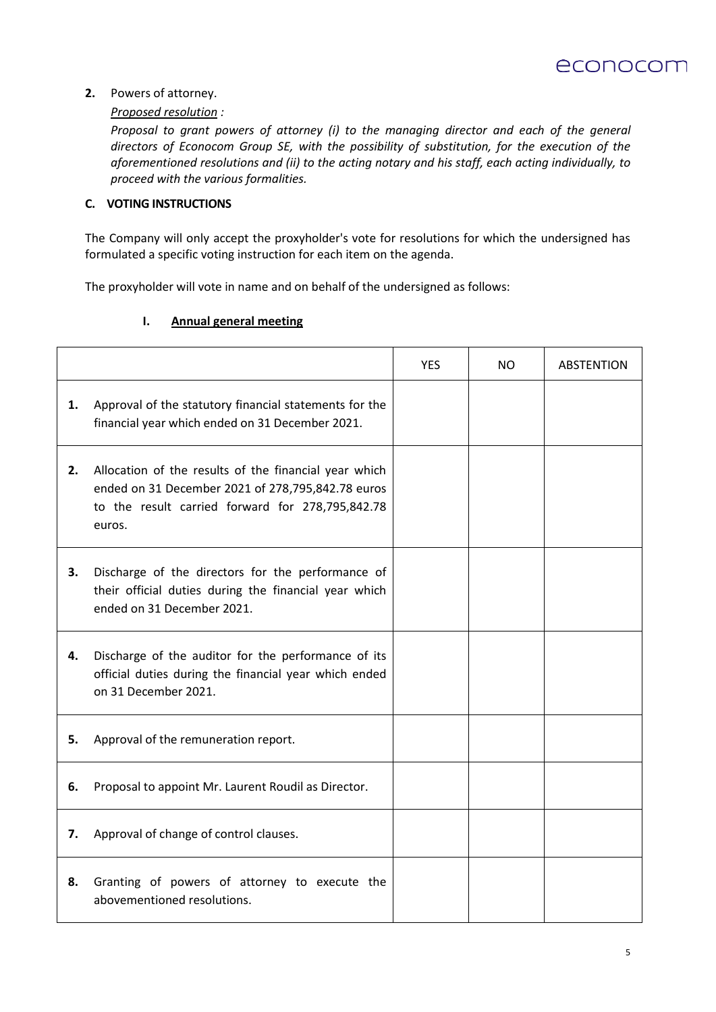

## **2.** Powers of attorney.

## *Proposed resolution :*

*Proposal to grant powers of attorney (i) to the managing director and each of the general directors of Econocom Group SE, with the possibility of substitution, for the execution of the aforementioned resolutions and (ii) to the acting notary and his staff, each acting individually, to proceed with the various formalities.*

# **C. VOTING INSTRUCTIONS**

The Company will only accept the proxyholder's vote for resolutions for which the undersigned has formulated a specific voting instruction for each item on the agenda.

The proxyholder will vote in name and on behalf of the undersigned as follows:

## **I. Annual general meeting**

|    |                                                                                                                                                                          | YES | NO. | <b>ABSTENTION</b> |
|----|--------------------------------------------------------------------------------------------------------------------------------------------------------------------------|-----|-----|-------------------|
| 1. | Approval of the statutory financial statements for the<br>financial year which ended on 31 December 2021.                                                                |     |     |                   |
| 2. | Allocation of the results of the financial year which<br>ended on 31 December 2021 of 278,795,842.78 euros<br>to the result carried forward for 278,795,842.78<br>euros. |     |     |                   |
| 3. | Discharge of the directors for the performance of<br>their official duties during the financial year which<br>ended on 31 December 2021.                                 |     |     |                   |
| 4. | Discharge of the auditor for the performance of its<br>official duties during the financial year which ended<br>on 31 December 2021.                                     |     |     |                   |
| 5. | Approval of the remuneration report.                                                                                                                                     |     |     |                   |
| 6. | Proposal to appoint Mr. Laurent Roudil as Director.                                                                                                                      |     |     |                   |
| 7. | Approval of change of control clauses.                                                                                                                                   |     |     |                   |
| 8. | Granting of powers of attorney to execute the<br>abovementioned resolutions.                                                                                             |     |     |                   |